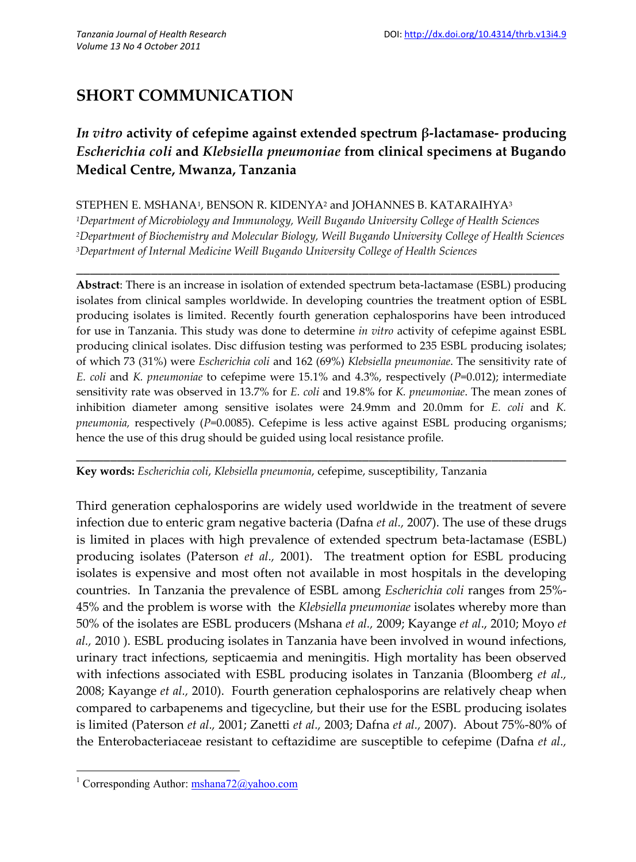# **SHORT COMMUNICATION**

## *In vitro* **activity of cefepime against extended spectrum β-lactamase- producing** *Escherichia coli* **and** *Klebsiella pneumoniae* **from clinical specimens at Bugando Medical Centre, Mwanza, Tanzania**

#### STEPHEN E. MSHANA1, BENSON R. KIDENYA<del>2</del> and JOHANNES B. KATARAIHYA<sup>3</sup>

*<sup>1</sup>Department of Microbiology and Immunology, Weill Bugando University College of Health Sciences <sup>2</sup>Department of Biochemistry and Molecular Biology, Weill Bugando University College of Health Sciences <sup>3</sup>Department of Internal Medicine Weill Bugando University College of Health Sciences*

**\_\_\_\_\_\_\_\_\_\_\_\_\_\_\_\_\_\_\_\_\_\_\_\_\_\_\_\_\_\_\_\_\_\_\_\_\_\_\_\_\_\_\_\_\_\_\_\_\_\_\_\_\_\_\_\_\_\_\_\_\_\_\_\_\_\_\_\_\_\_\_**

**Abstract**: There is an increase in isolation of extended spectrum beta-lactamase (ESBL) producing isolates from clinical samples worldwide. In developing countries the treatment option of ESBL producing isolates is limited. Recently fourth generation cephalosporins have been introduced for use in Tanzania. This study was done to determine *in vitro* activity of cefepime against ESBL producing clinical isolates. Disc diffusion testing was performed to 235 ESBL producing isolates; of which 73 (31%) were *Escherichia coli* and 162 (69%) *Klebsiella pneumoniae*. The sensitivity rate of *E. coli* and *K. pneumoniae* to cefepime were 15.1% and 4.3%, respectively (*P*=0.012); intermediate sensitivity rate was observed in 13.7% for *E. coli* and 19.8% for *K. pneumoniae*. The mean zones of inhibition diameter among sensitive isolates were 24.9mm and 20.0mm for *E. coli* and *K. pneumonia,* respectively (*P*=0.0085). Cefepime is less active against ESBL producing organisms; hence the use of this drug should be guided using local resistance profile.

\_\_\_\_\_\_\_\_\_\_\_\_\_\_\_\_\_\_\_\_\_\_\_\_\_\_\_\_\_\_\_\_\_\_\_\_\_\_\_\_\_\_\_\_\_\_\_\_\_\_\_\_\_\_\_\_\_\_\_\_\_\_\_\_\_\_\_\_\_\_\_\_

**Key words:** *Escherichia coli*, *Klebsiella pneumonia*, cefepime, susceptibility, Tanzania

Third generation cephalosporins are widely used worldwide in the treatment of severe infection due to enteric gram negative bacteria (Dafna *et al.,* 2007). The use of these drugs is limited in places with high prevalence of extended spectrum beta-lactamase (ESBL) producing isolates (Paterson *et al.,* 2001). The treatment option for ESBL producing isolates is expensive and most often not available in most hospitals in the developing countries. In Tanzania the prevalence of ESBL among *Escherichia coli* ranges from 25%- 45% and the problem is worse with the *Klebsiella pneumoniae* isolates whereby more than 50% of the isolates are ESBL producers (Mshana *et al.,* 2009; Kayange *et al*., 2010; Moyo *et al.,* 2010 ). ESBL producing isolates in Tanzania have been involved in wound infections, urinary tract infections, septicaemia and meningitis. High mortality has been observed with infections associated with ESBL producing isolates in Tanzania (Bloomberg *et al.,* 2008; Kayange *et al.,* 2010). Fourth generation cephalosporins are relatively cheap when compared to carbapenems and tigecycline, but their use for the ESBL producing isolates is limited (Paterson *et al.,* 2001; Zanetti *et al.,* 2003; Dafna *et al.,* 2007). About 75%-80% of the Enterobacteriaceae resistant to ceftazidime are susceptible to cefepime (Dafna *et al.,*

<sup>&</sup>lt;sup>1</sup> Corresponding Author:  $mshana72@$ yahoo.com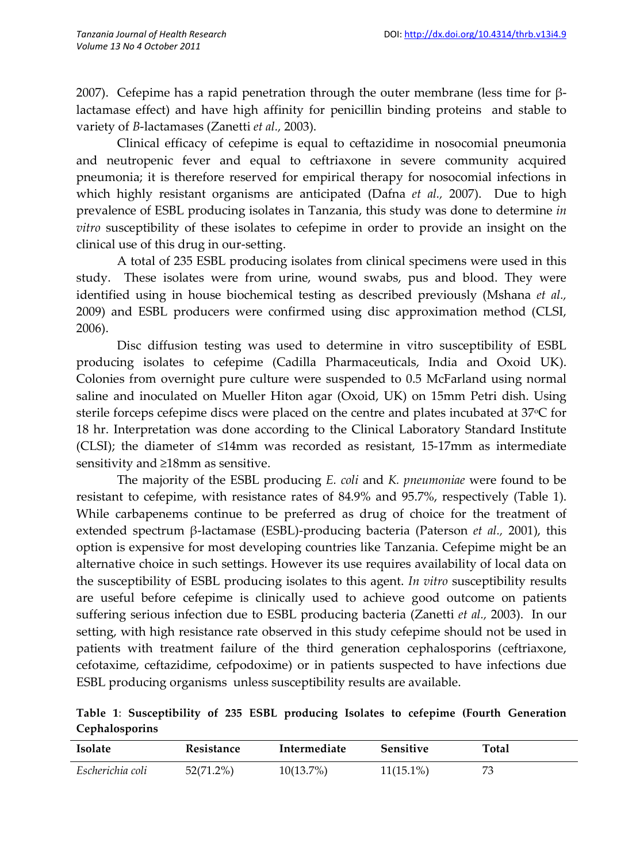2007). Cefepime has a rapid penetration through the outer membrane (less time for βlactamase effect) and have high affinity for penicillin binding proteins and stable to variety of *B*-lactamases (Zanetti *et al.,* 2003).

Clinical efficacy of cefepime is equal to ceftazidime in nosocomial pneumonia and neutropenic fever and equal to ceftriaxone in severe community acquired pneumonia; it is therefore reserved for empirical therapy for nosocomial infections in which highly resistant organisms are anticipated (Dafna *et al.,* 2007). Due to high prevalence of ESBL producing isolates in Tanzania, this study was done to determine *in vitro* susceptibility of these isolates to cefepime in order to provide an insight on the clinical use of this drug in our-setting.

A total of 235 ESBL producing isolates from clinical specimens were used in this study. These isolates were from urine, wound swabs, pus and blood. They were identified using in house biochemical testing as described previously (Mshana *et al.,* 2009) and ESBL producers were confirmed using disc approximation method (CLSI, 2006).

Disc diffusion testing was used to determine in vitro susceptibility of ESBL producing isolates to cefepime (Cadilla Pharmaceuticals, India and Oxoid UK). Colonies from overnight pure culture were suspended to 0.5 McFarland using normal saline and inoculated on Mueller Hiton agar (Oxoid, UK) on 15mm Petri dish. Using sterile forceps cefepime discs were placed on the centre and plates incubated at 37 °C for 18 hr. Interpretation was done according to the Clinical Laboratory Standard Institute (CLSI); the diameter of ≤14mm was recorded as resistant, 15-17mm as intermediate sensitivity and ≥18mm as sensitive.

The majority of the ESBL producing *E. coli* and *K. pneumoniae* were found to be resistant to cefepime, with resistance rates of 84.9% and 95.7%, respectively (Table 1). While carbapenems continue to be preferred as drug of choice for the treatment of extended spectrum β-lactamase (ESBL)-producing bacteria (Paterson *et al.,* 2001), this option is expensive for most developing countries like Tanzania. Cefepime might be an alternative choice in such settings. However its use requires availability of local data on the susceptibility of ESBL producing isolates to this agent. *In vitro* susceptibility results are useful before cefepime is clinically used to achieve good outcome on patients suffering serious infection due to ESBL producing bacteria (Zanetti *et al.,* 2003). In our setting, with high resistance rate observed in this study cefepime should not be used in patients with treatment failure of the third generation cephalosporins (ceftriaxone, cefotaxime, ceftazidime, cefpodoxime) or in patients suspected to have infections due ESBL producing organisms unless susceptibility results are available.

**Table 1**: **Susceptibility of 235 ESBL producing Isolates to cefepime (Fourth Generation Cephalosporins**

| Isolate          | Resistance   | Intermediate | Sensitive    | Total |
|------------------|--------------|--------------|--------------|-------|
| Escherichia coli | $52(71.2\%)$ | $10(13.7\%)$ | $11(15.1\%)$ | 73    |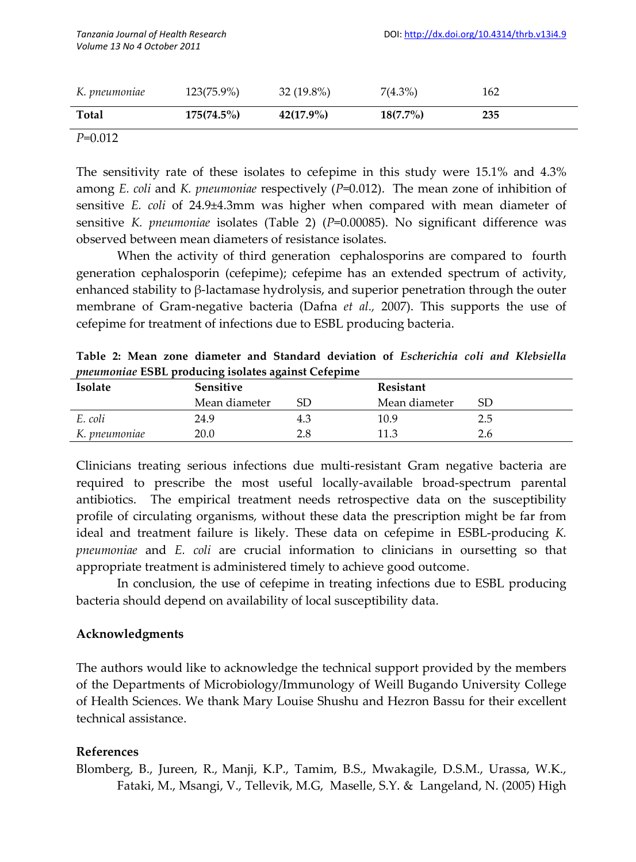| K. pneumoniae | 123(75.9%) | $32(19.8\%)$ | $7(4.3\%)$  | 162 |
|---------------|------------|--------------|-------------|-----|
| <b>Total</b>  | 175(74.5%) | $42(17.9\%)$ | $18(7.7\%)$ | 235 |

*P*=0.012

The sensitivity rate of these isolates to cefepime in this study were 15.1% and 4.3% among *E. coli* and *K. pneumoniae* respectively (*P*=0.012). The mean zone of inhibition of sensitive *E. coli* of 24.9±4.3mm was higher when compared with mean diameter of sensitive *K. pneumoniae* isolates (Table 2) (*P*=0.00085). No significant difference was observed between mean diameters of resistance isolates.

When the activity of third generation cephalosporins are compared to fourth generation cephalosporin (cefepime); cefepime has an extended spectrum of activity, enhanced stability to β-lactamase hydrolysis, and superior penetration through the outer membrane of Gram-negative bacteria (Dafna *et al.,* 2007). This supports the use of cefepime for treatment of infections due to ESBL producing bacteria.

| <i>pheumoniae</i> ESBL producing isolates against Cefepime |                  |     |               |     |  |  |  |
|------------------------------------------------------------|------------------|-----|---------------|-----|--|--|--|
| <b>Isolate</b>                                             | <b>Sensitive</b> |     | Resistant     |     |  |  |  |
|                                                            | Mean diameter    | SD  | Mean diameter | SD  |  |  |  |
| E. coli                                                    | 24.9             | 4.3 | 10.9          | 2.5 |  |  |  |
| K. pneumoniae                                              | 20.0             | 2.8 | 11.3          | 2.6 |  |  |  |

**Table 2: Mean zone diameter and Standard deviation of** *Escherichia coli and Klebsiella pneumoniae* **ESBL producing isolates against Cefepime**

Clinicians treating serious infections due multi-resistant Gram negative bacteria are required to prescribe the most useful locally-available broad-spectrum parental antibiotics. The empirical treatment needs retrospective data on the susceptibility profile of circulating organisms, without these data the prescription might be far from ideal and treatment failure is likely. These data on cefepime in ESBL-producing *K. pneumoniae* and *E. coli* are crucial information to clinicians in oursetting so that appropriate treatment is administered timely to achieve good outcome.

In conclusion, the use of cefepime in treating infections due to ESBL producing bacteria should depend on availability of local susceptibility data.

### **Acknowledgments**

The authors would like to acknowledge the technical support provided by the members of the Departments of Microbiology/Immunology of Weill Bugando University College of Health Sciences. We thank Mary Louise Shushu and Hezron Bassu for their excellent technical assistance.

#### **References**

Blomberg, B., Jureen, R., Manji, K.P., Tamim, B.S., Mwakagile, D.S.M., Urassa, W.K., Fataki, M., Msangi, V., Tellevik, M.G, Maselle, S.Y. & Langeland, N. (2005) High